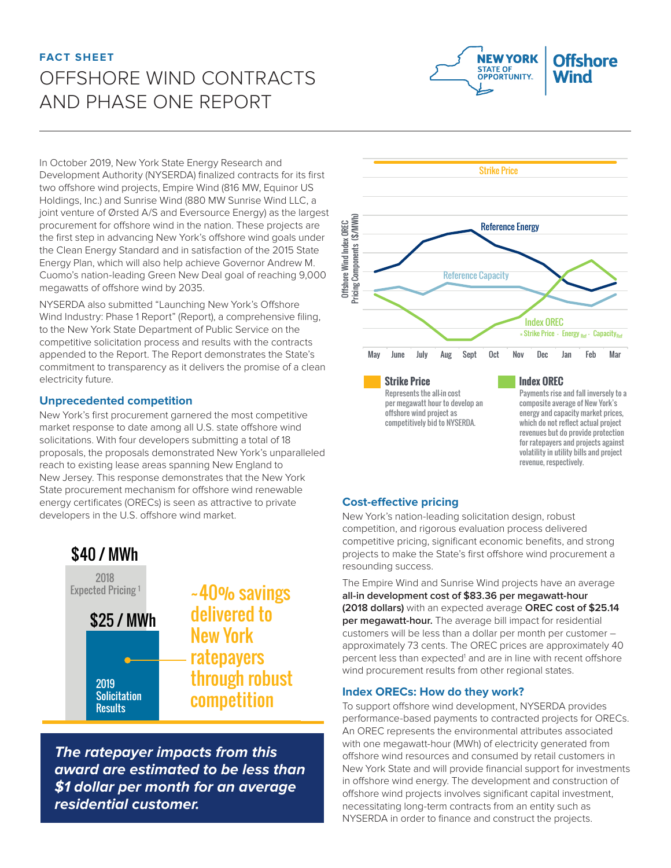# **FACT SHEET** OFFSHORE WIND CONTRACTS AND PHASE ONE REPORT



In October 2019, New York State Energy Research and Development Authority (NYSERDA) finalized contracts for its first two offshore wind projects, Empire Wind (816 MW, Equinor US Holdings, Inc.) and Sunrise Wind (880 MW Sunrise Wind LLC, a joint venture of Ørsted A/S and Eversource Energy) as the largest procurement for offshore wind in the nation. These projects are the first step in advancing New York's offshore wind goals under the Clean Energy Standard and in satisfaction of the 2015 State Energy Plan, which will also help achieve Governor Andrew M. Cuomo's nation-leading Green New Deal goal of reaching 9,000 megawatts of offshore wind by 2035.

NYSERDA also submitted "Launching New York's Offshore Wind Industry: Phase 1 Report" (Report), a comprehensive filing, to the New York State Department of Public Service on the competitive solicitation process and results with the contracts appended to the Report. The Report demonstrates the State's commitment to transparency as it delivers the promise of a clean electricity future.

### **Unprecedented competition**

New York's first procurement garnered the most competitive market response to date among all U.S. state offshore wind solicitations. With four developers submitting a total of 18 proposals, the proposals demonstrated New York's unparalleled reach to existing lease areas spanning New England to New Jersey. This response demonstrates that the New York State procurement mechanism for offshore wind renewable energy certificates (ORECs) is seen as attractive to private developers in the U.S. offshore wind market.



**The ratepayer impacts from this award are estimated to be less than \$1 dollar per month for an average residential customer.**



**Strike Price** Represents the all-in cost per megawatt hour to develop an offshore wind project as competitively bid to NYSERDA.

#### **Index OREC**

Payments rise and fall inversely to a composite average of New York's energy and capacity market prices, which do not reflect actual project revenues but do provide protection for ratepayers and projects against volatility in utility bills and project revenue, respectively.

#### **Cost-effective pricing**

New York's nation-leading solicitation design, robust competition, and rigorous evaluation process delivered competitive pricing, significant economic benefits, and strong projects to make the State's first offshore wind procurement a resounding success.

The Empire Wind and Sunrise Wind projects have an average **all-in development cost of \$83.36 per megawatt-hour (2018 dollars)** with an expected average **OREC cost of \$25.14 per megawatt-hour.** The average bill impact for residential customers will be less than a dollar per month per customer – approximately 73 cents. The OREC prices are approximately 40 percent less than expected<sup>1</sup> and are in line with recent offshore wind procurement results from other regional states.

#### **Index ORECs: How do they work?**

To support offshore wind development, NYSERDA provides performance-based payments to contracted projects for ORECs. An OREC represents the environmental attributes associated with one megawatt-hour (MWh) of electricity generated from offshore wind resources and consumed by retail customers in New York State and will provide financial support for investments in offshore wind energy. The development and construction of offshore wind projects involves significant capital investment, necessitating long-term contracts from an entity such as NYSERDA in order to finance and construct the projects.